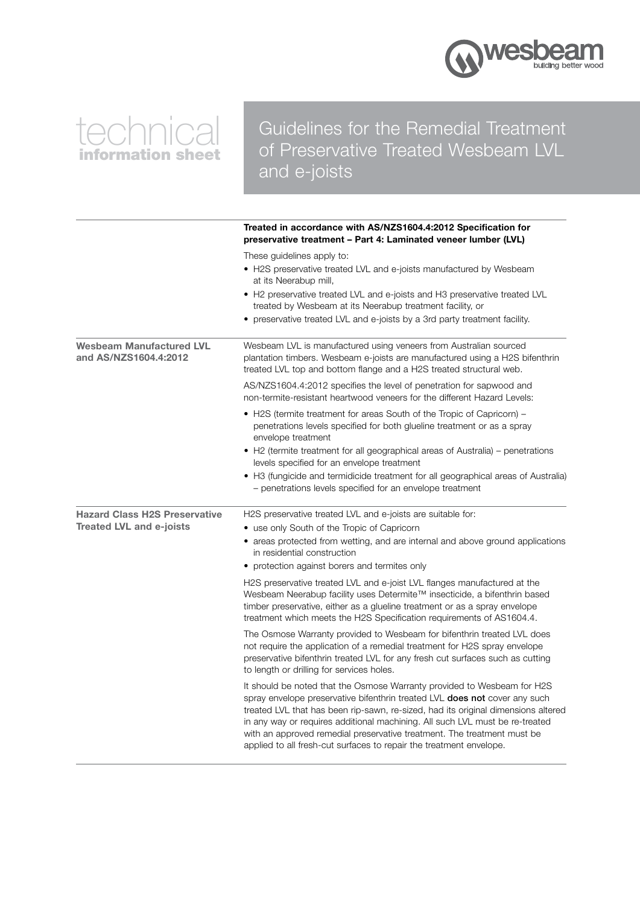

# technical information sheet

### Guidelines for the Remedial Treatment of Preservative Treated Wesbeam LVL and e-joists

|                                                          | Treated in accordance with AS/NZS1604.4:2012 Specification for<br>preservative treatment – Part 4: Laminated veneer lumber (LVL)                                                                                                                                                                                                                                                                                                                                                    |
|----------------------------------------------------------|-------------------------------------------------------------------------------------------------------------------------------------------------------------------------------------------------------------------------------------------------------------------------------------------------------------------------------------------------------------------------------------------------------------------------------------------------------------------------------------|
|                                                          | These guidelines apply to:<br>• H2S preservative treated LVL and e-joists manufactured by Wesbeam<br>at its Neerabup mill,<br>• H2 preservative treated LVL and e-joists and H3 preservative treated LVL<br>treated by Wesbeam at its Neerabup treatment facility, or<br>• preservative treated LVL and e-joists by a 3rd party treatment facility.                                                                                                                                 |
| <b>Wesbeam Manufactured LVL</b><br>and AS/NZS1604.4:2012 | Wesbeam LVL is manufactured using veneers from Australian sourced<br>plantation timbers. Wesbeam e-joists are manufactured using a H2S bifenthrin<br>treated LVL top and bottom flange and a H2S treated structural web.                                                                                                                                                                                                                                                            |
|                                                          | AS/NZS1604.4:2012 specifies the level of penetration for sapwood and<br>non-termite-resistant heartwood veneers for the different Hazard Levels:                                                                                                                                                                                                                                                                                                                                    |
|                                                          | • H2S (termite treatment for areas South of the Tropic of Capricorn) –<br>penetrations levels specified for both glueline treatment or as a spray<br>envelope treatment<br>• H2 (termite treatment for all geographical areas of Australia) - penetrations<br>levels specified for an envelope treatment<br>• H3 (fungicide and termidicide treatment for all geographical areas of Australia)<br>- penetrations levels specified for an envelope treatment                         |
| <b>Hazard Class H2S Preservative</b>                     | H2S preservative treated LVL and e-joists are suitable for:                                                                                                                                                                                                                                                                                                                                                                                                                         |
| <b>Treated LVL and e-joists</b>                          | • use only South of the Tropic of Capricorn<br>• areas protected from wetting, and are internal and above ground applications<br>in residential construction<br>• protection against borers and termites only                                                                                                                                                                                                                                                                       |
|                                                          | H2S preservative treated LVL and e-joist LVL flanges manufactured at the<br>Wesbeam Neerabup facility uses Determite™ insecticide, a bifenthrin based<br>timber preservative, either as a glueline treatment or as a spray envelope<br>treatment which meets the H2S Specification requirements of AS1604.4.                                                                                                                                                                        |
|                                                          | The Osmose Warranty provided to Wesbeam for bifenthrin treated LVL does<br>not require the application of a remedial treatment for H2S spray envelope<br>preservative bifenthrin treated LVL for any fresh cut surfaces such as cutting<br>to length or drilling for services holes.                                                                                                                                                                                                |
|                                                          | It should be noted that the Osmose Warranty provided to Wesbeam for H2S<br>spray envelope preservative bifenthrin treated LVL <b>does not</b> cover any such<br>treated LVL that has been rip-sawn, re-sized, had its original dimensions altered<br>in any way or requires additional machining. All such LVL must be re-treated<br>with an approved remedial preservative treatment. The treatment must be<br>applied to all fresh-cut surfaces to repair the treatment envelope. |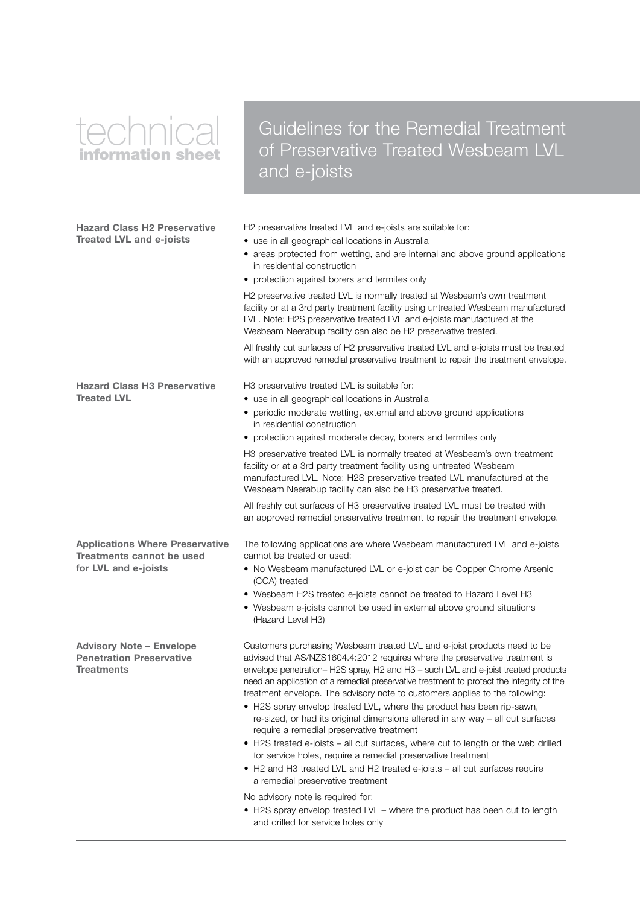# technical information sheet

### Guidelines for the Remedial Treatment of Preservative Treated Wesbeam LVL and e-joists

| <b>Hazard Class H2 Preservative</b><br><b>Treated LVL and e-joists</b>                      | H2 preservative treated LVL and e-joists are suitable for:<br>• use in all geographical locations in Australia<br>• areas protected from wetting, and are internal and above ground applications<br>in residential construction<br>• protection against borers and termites only                                                                                                                                                                                                                                                                                                                                                                                                                                                                                                                                                                                                                                                                                                                                                                                  |
|---------------------------------------------------------------------------------------------|-------------------------------------------------------------------------------------------------------------------------------------------------------------------------------------------------------------------------------------------------------------------------------------------------------------------------------------------------------------------------------------------------------------------------------------------------------------------------------------------------------------------------------------------------------------------------------------------------------------------------------------------------------------------------------------------------------------------------------------------------------------------------------------------------------------------------------------------------------------------------------------------------------------------------------------------------------------------------------------------------------------------------------------------------------------------|
|                                                                                             | H2 preservative treated LVL is normally treated at Wesbeam's own treatment<br>facility or at a 3rd party treatment facility using untreated Wesbeam manufactured<br>LVL. Note: H2S preservative treated LVL and e-joists manufactured at the<br>Wesbeam Neerabup facility can also be H2 preservative treated.                                                                                                                                                                                                                                                                                                                                                                                                                                                                                                                                                                                                                                                                                                                                                    |
|                                                                                             | All freshly cut surfaces of H2 preservative treated LVL and e-joists must be treated<br>with an approved remedial preservative treatment to repair the treatment envelope.                                                                                                                                                                                                                                                                                                                                                                                                                                                                                                                                                                                                                                                                                                                                                                                                                                                                                        |
| <b>Hazard Class H3 Preservative</b><br><b>Treated LVL</b>                                   | H3 preservative treated LVL is suitable for:<br>• use in all geographical locations in Australia<br>• periodic moderate wetting, external and above ground applications<br>in residential construction<br>• protection against moderate decay, borers and termites only<br>H3 preservative treated LVL is normally treated at Wesbeam's own treatment                                                                                                                                                                                                                                                                                                                                                                                                                                                                                                                                                                                                                                                                                                             |
|                                                                                             | facility or at a 3rd party treatment facility using untreated Wesbeam<br>manufactured LVL. Note: H2S preservative treated LVL manufactured at the<br>Wesbeam Neerabup facility can also be H3 preservative treated.<br>All freshly cut surfaces of H3 preservative treated LVL must be treated with                                                                                                                                                                                                                                                                                                                                                                                                                                                                                                                                                                                                                                                                                                                                                               |
|                                                                                             | an approved remedial preservative treatment to repair the treatment envelope.                                                                                                                                                                                                                                                                                                                                                                                                                                                                                                                                                                                                                                                                                                                                                                                                                                                                                                                                                                                     |
| <b>Applications Where Preservative</b><br>Treatments cannot be used<br>for LVL and e-joists | The following applications are where Wesbeam manufactured LVL and e-joists<br>cannot be treated or used:<br>• No Wesbeam manufactured LVL or e-joist can be Copper Chrome Arsenic<br>(CCA) treated<br>• Wesbeam H2S treated e-joists cannot be treated to Hazard Level H3<br>• Wesbeam e-joists cannot be used in external above ground situations<br>(Hazard Level H3)                                                                                                                                                                                                                                                                                                                                                                                                                                                                                                                                                                                                                                                                                           |
| <b>Advisory Note - Envelope</b><br><b>Penetration Preservative</b><br><b>Treatments</b>     | Customers purchasing Wesbeam treated LVL and e-joist products need to be<br>advised that AS/NZS1604.4:2012 requires where the preservative treatment is<br>envelope penetration-H2S spray, H2 and H3 - such LVL and e-joist treated products<br>need an application of a remedial preservative treatment to protect the integrity of the<br>treatment envelope. The advisory note to customers applies to the following:<br>• H2S spray envelop treated LVL, where the product has been rip-sawn,<br>re-sized, or had its original dimensions altered in any way - all cut surfaces<br>require a remedial preservative treatment<br>• H2S treated e-joists – all cut surfaces, where cut to length or the web drilled<br>for service holes, require a remedial preservative treatment<br>• H2 and H3 treated LVL and H2 treated e-joists - all cut surfaces require<br>a remedial preservative treatment<br>No advisory note is required for:<br>• H2S spray envelop treated LVL – where the product has been cut to length<br>and drilled for service holes only |